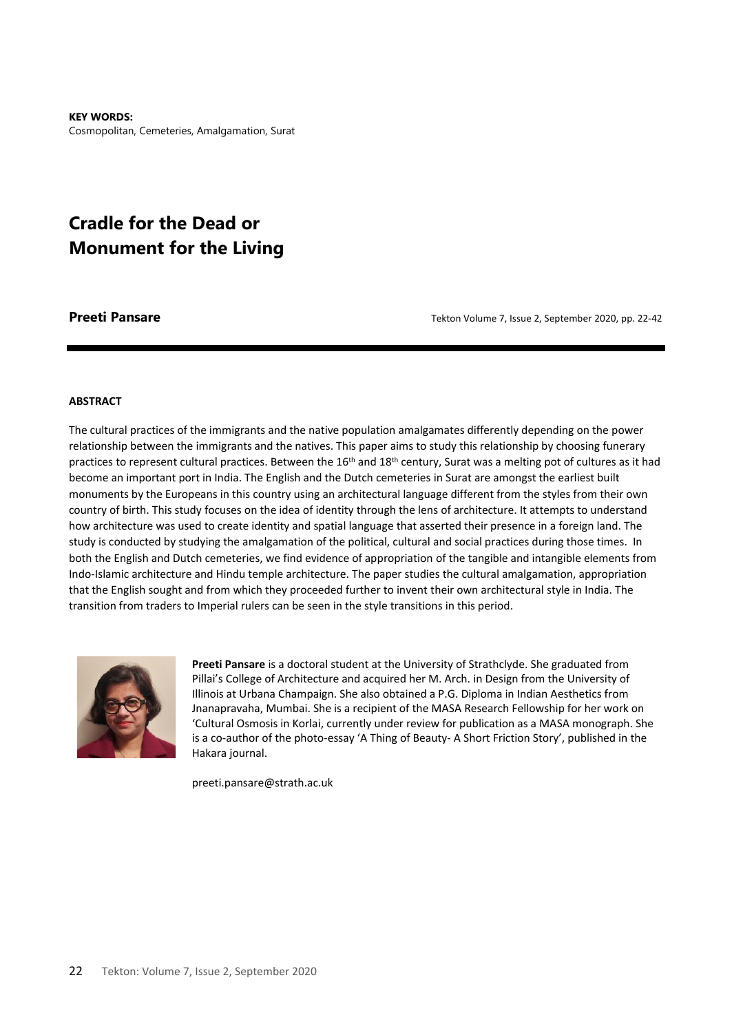**KEY WORDS:**  Cosmopolitan, Cemeteries, Amalgamation, Surat

# **Cradle for the Dead or Monument for the Living**

**Preeti Pansare** *Preeti Pansare Tekton Volume 7, Issue 2, September 2020, pp. 22-42* 

#### **ABSTRACT**

The cultural practices of the immigrants and the native population amalgamates differently depending on the power relationship between the immigrants and the natives. This paper aims to study this relationship by choosing funerary practices to represent cultural practices. Between the 16<sup>th</sup> and 18<sup>th</sup> century, Surat was a melting pot of cultures as it had become an important port in India. The English and the Dutch cemeteries in Surat are amongst the earliest built monuments by the Europeans in this country using an architectural language different from the styles from their own country of birth. This study focuses on the idea of identity through the lens of architecture. It attempts to understand how architecture was used to create identity and spatial language that asserted their presence in a foreign land. The study is conducted by studying the amalgamation of the political, cultural and social practices during those times. In both the English and Dutch cemeteries, we find evidence of appropriation of the tangible and intangible elements from Indo-Islamic architecture and Hindu temple architecture. The paper studies the cultural amalgamation, appropriation that the English sought and from which they proceeded further to invent their own architectural style in India. The transition from traders to Imperial rulers can be seen in the style transitions in this period.



**Preeti Pansare** is a doctoral student at the University of Strathclyde. She graduated from Pillai's College of Architecture and acquired her M. Arch. in Design from the University of Illinois at Urbana Champaign. She also obtained a P.G. Diploma in Indian Aesthetics from Jnanapravaha, Mumbai. She is a recipient of the MASA Research Fellowship for her work on 'Cultural Osmosis in Korlai, currently under review for publication as a MASA monograph. She is a co-author of the photo-essay 'A Thing of Beauty- A Short Friction Story', published in the Hakara journal.

preeti.pansare@strath.ac.uk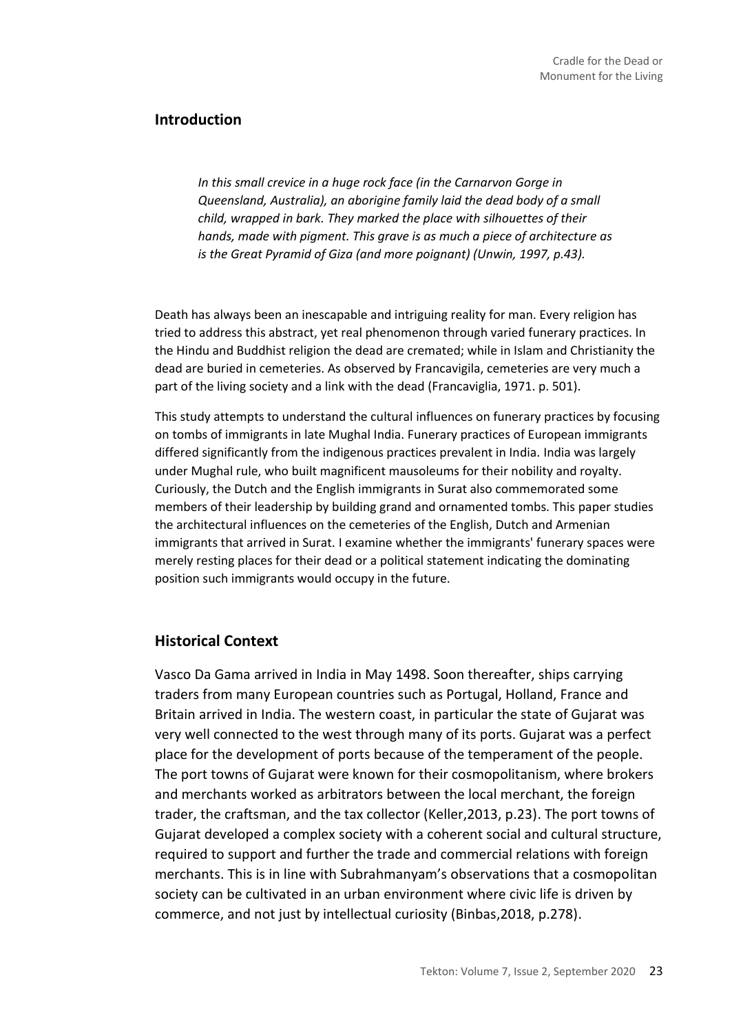# **Introduction**

*In this small crevice in a huge rock face (in the Carnarvon Gorge in Queensland, Australia), an aborigine family laid the dead body of a small child, wrapped in bark. They marked the place with silhouettes of their hands, made with pigment. This grave is as much a piece of architecture as is the Great Pyramid of Giza (and more poignant) (Unwin, 1997, p.43).*

Death has always been an inescapable and intriguing reality for man. Every religion has tried to address this abstract, yet real phenomenon through varied funerary practices. In the Hindu and Buddhist religion the dead are cremated; while in Islam and Christianity the dead are buried in cemeteries. As observed by Francavigila, cemeteries are very much a part of the living society and a link with the dead (Francaviglia, 1971. p. 501).

This study attempts to understand the cultural influences on funerary practices by focusing on tombs of immigrants in late Mughal India. Funerary practices of European immigrants differed significantly from the indigenous practices prevalent in India. India was largely under Mughal rule, who built magnificent mausoleums for their nobility and royalty. Curiously, the Dutch and the English immigrants in Surat also commemorated some members of their leadership by building grand and ornamented tombs. This paper studies the architectural influences on the cemeteries of the English, Dutch and Armenian immigrants that arrived in Surat. I examine whether the immigrants' funerary spaces were merely resting places for their dead or a political statement indicating the dominating position such immigrants would occupy in the future.

# **Historical Context**

Vasco Da Gama arrived in India in May 1498. Soon thereafter, ships carrying traders from many European countries such as Portugal, Holland, France and Britain arrived in India. The western coast, in particular the state of Gujarat was very well connected to the west through many of its ports. Gujarat was a perfect place for the development of ports because of the temperament of the people. The port towns of Gujarat were known for their cosmopolitanism, where brokers and merchants worked as arbitrators between the local merchant, the foreign trader, the craftsman, and the tax collector (Keller,2013, p.23). The port towns of Gujarat developed a complex society with a coherent social and cultural structure, required to support and further the trade and commercial relations with foreign merchants. This is in line with Subrahmanyam's observations that a cosmopolitan society can be cultivated in an urban environment where civic life is driven by commerce, and not just by intellectual curiosity (Binbas,2018, p.278).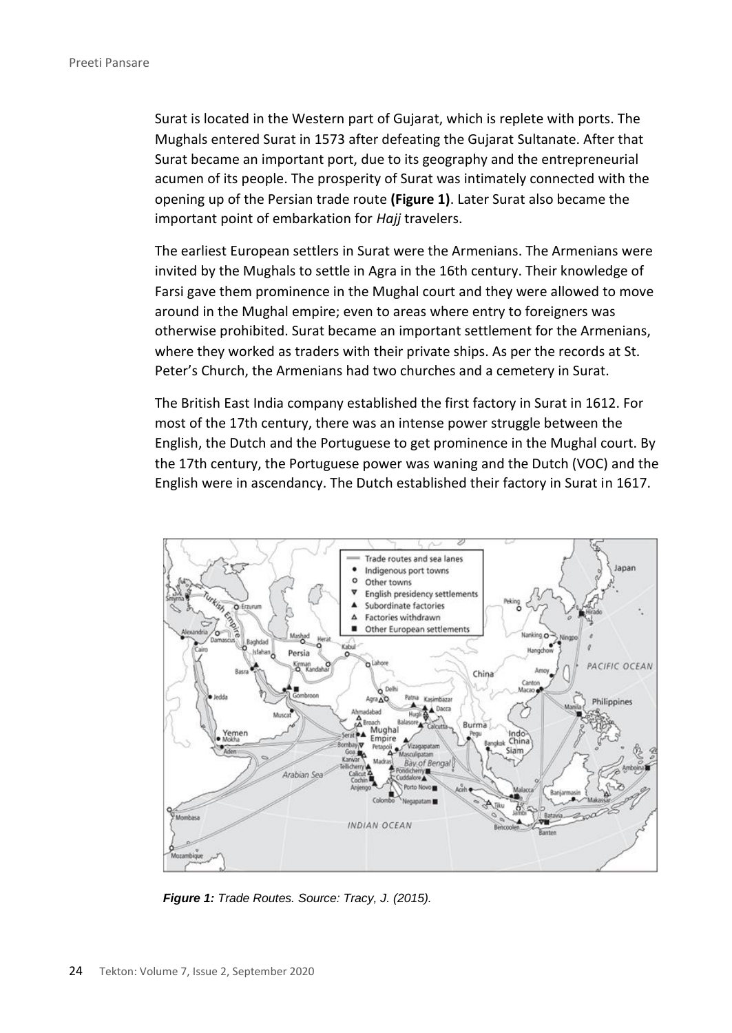Surat is located in the Western part of Gujarat, which is replete with ports. The Mughals entered Surat in 1573 after defeating the Gujarat Sultanate. After that Surat became an important port, due to its geography and the entrepreneurial acumen of its people. The prosperity of Surat was intimately connected with the opening up of the Persian trade route **(Figure 1)**. Later Surat also became the important point of embarkation for *Hajj* travelers.

The earliest European settlers in Surat were the Armenians. The Armenians were invited by the Mughals to settle in Agra in the 16th century. Their knowledge of Farsi gave them prominence in the Mughal court and they were allowed to move around in the Mughal empire; even to areas where entry to foreigners was otherwise prohibited. Surat became an important settlement for the Armenians, where they worked as traders with their private ships. As per the records at St. Peter's Church, the Armenians had two churches and a cemetery in Surat.

The British East India company established the first factory in Surat in 1612. For most of the 17th century, there was an intense power struggle between the English, the Dutch and the Portuguese to get prominence in the Mughal court. By the 17th century, the Portuguese power was waning and the Dutch (VOC) and the English were in ascendancy. The Dutch established their factory in Surat in 1617.



*Figure 1: Trade Routes. Source: Tracy, J. (2015).*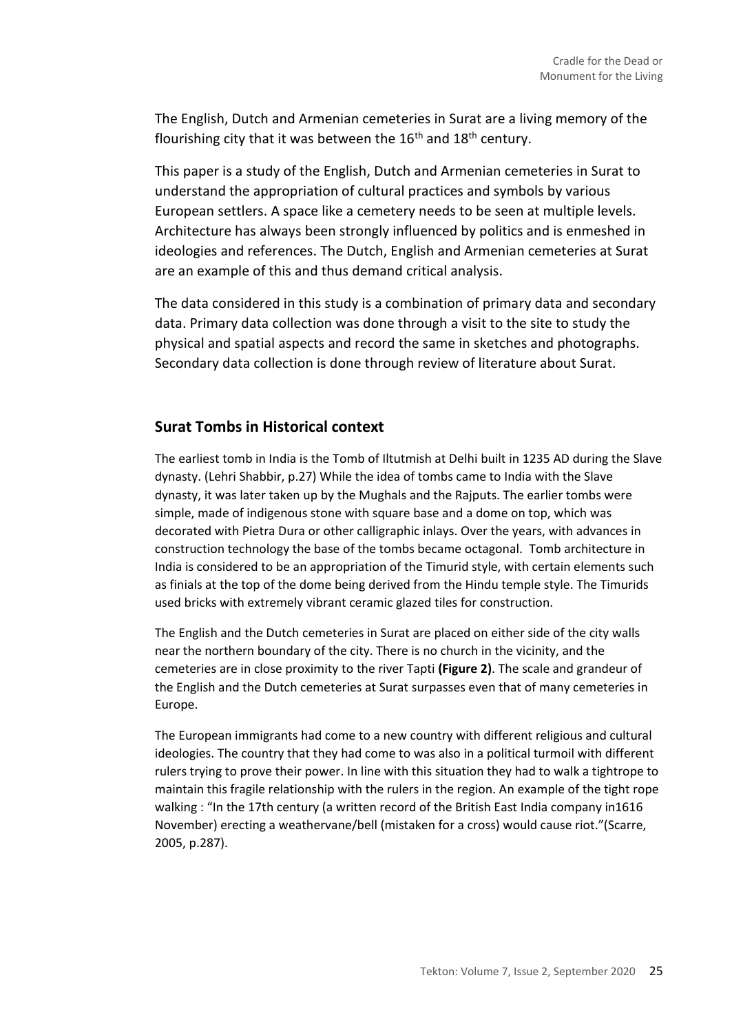The English, Dutch and Armenian cemeteries in Surat are a living memory of the flourishing city that it was between the  $16<sup>th</sup>$  and  $18<sup>th</sup>$  century.

This paper is a study of the English, Dutch and Armenian cemeteries in Surat to understand the appropriation of cultural practices and symbols by various European settlers. A space like a cemetery needs to be seen at multiple levels. Architecture has always been strongly influenced by politics and is enmeshed in ideologies and references. The Dutch, English and Armenian cemeteries at Surat are an example of this and thus demand critical analysis.

The data considered in this study is a combination of primary data and secondary data. Primary data collection was done through a visit to the site to study the physical and spatial aspects and record the same in sketches and photographs. Secondary data collection is done through review of literature about Surat.

# **Surat Tombs in Historical context**

The earliest tomb in India is the Tomb of Iltutmish at Delhi built in 1235 AD during the Slave dynasty. (Lehri Shabbir, p.27) While the idea of tombs came to India with the Slave dynasty, it was later taken up by the Mughals and the Rajputs. The earlier tombs were simple, made of indigenous stone with square base and a dome on top, which was decorated with Pietra Dura or other calligraphic inlays. Over the years, with advances in construction technology the base of the tombs became octagonal. Tomb architecture in India is considered to be an appropriation of the Timurid style, with certain elements such as finials at the top of the dome being derived from the Hindu temple style. The Timurids used bricks with extremely vibrant ceramic glazed tiles for construction.

The English and the Dutch cemeteries in Surat are placed on either side of the city walls near the northern boundary of the city. There is no church in the vicinity, and the cemeteries are in close proximity to the river Tapti **(Figure 2)**. The scale and grandeur of the English and the Dutch cemeteries at Surat surpasses even that of many cemeteries in Europe.

The European immigrants had come to a new country with different religious and cultural ideologies. The country that they had come to was also in a political turmoil with different rulers trying to prove their power. In line with this situation they had to walk a tightrope to maintain this fragile relationship with the rulers in the region. An example of the tight rope walking : "In the 17th century (a written record of the British East India company in1616 November) erecting a weathervane/bell (mistaken for a cross) would cause riot."(Scarre, 2005, p.287).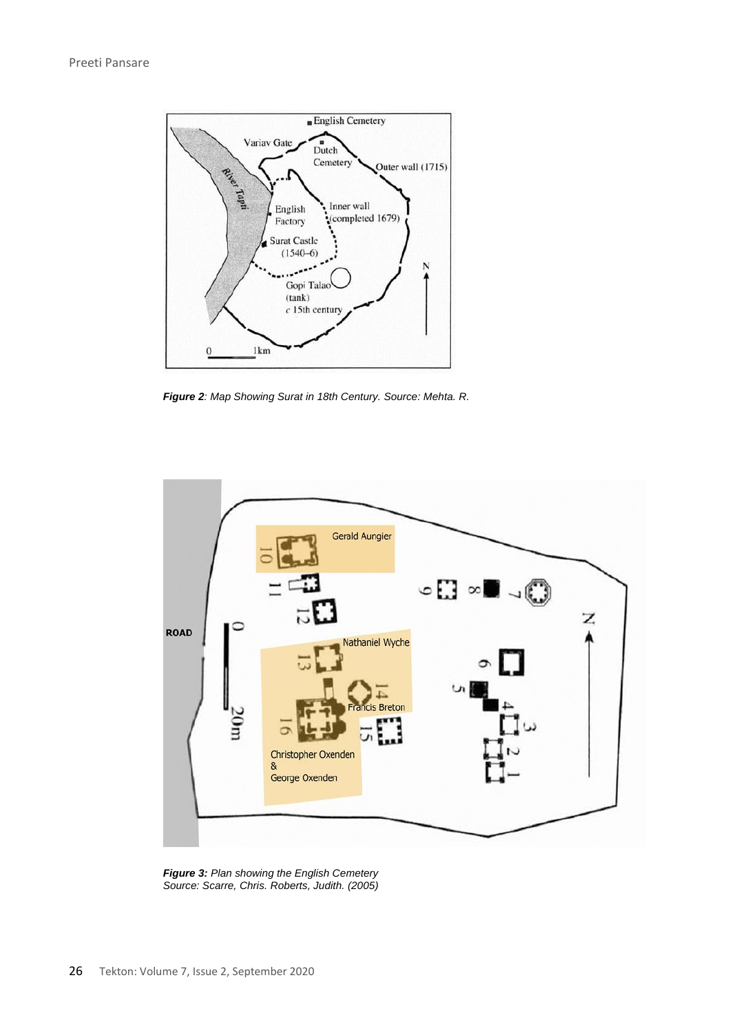

*Figure 2: Map Showing Surat in 18th Century. Source: Mehta. R.*



*Figure 3: Plan showing the English Cemetery Source: Scarre, Chris. Roberts, Judith. (2005)*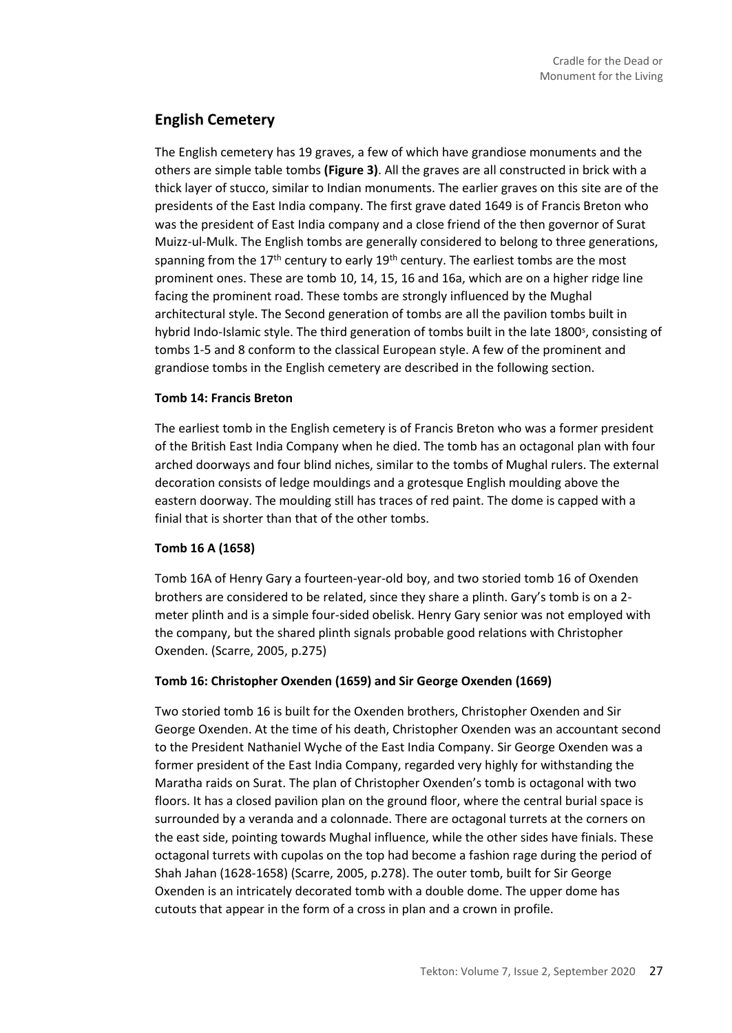# **English Cemetery**

The English cemetery has 19 graves, a few of which have grandiose monuments and the others are simple table tombs **(Figure 3)**. All the graves are all constructed in brick with a thick layer of stucco, similar to Indian monuments. The earlier graves on this site are of the presidents of the East India company. The first grave dated 1649 is of Francis Breton who was the president of East India company and a close friend of the then governor of Surat Muizz-ul-Mulk. The English tombs are generally considered to belong to three generations, spanning from the  $17<sup>th</sup>$  century to early  $19<sup>th</sup>$  century. The earliest tombs are the most prominent ones. These are tomb 10, 14, 15, 16 and 16a, which are on a higher ridge line facing the prominent road. These tombs are strongly influenced by the Mughal architectural style. The Second generation of tombs are all the pavilion tombs built in hybrid Indo-Islamic style. The third generation of tombs built in the late 1800<sup>s</sup>, consisting of tombs 1-5 and 8 conform to the classical European style. A few of the prominent and grandiose tombs in the English cemetery are described in the following section.

### **Tomb 14: Francis Breton**

The earliest tomb in the English cemetery is of Francis Breton who was a former president of the British East India Company when he died. The tomb has an octagonal plan with four arched doorways and four blind niches, similar to the tombs of Mughal rulers. The external decoration consists of ledge mouldings and a grotesque English moulding above the eastern doorway. The moulding still has traces of red paint. The dome is capped with a finial that is shorter than that of the other tombs.

### **Tomb 16 A (1658)**

Tomb 16A of Henry Gary a fourteen-year-old boy, and two storied tomb 16 of Oxenden brothers are considered to be related, since they share a plinth. Gary's tomb is on a 2 meter plinth and is a simple four-sided obelisk. Henry Gary senior was not employed with the company, but the shared plinth signals probable good relations with Christopher Oxenden. (Scarre, 2005, p.275)

### **Tomb 16: Christopher Oxenden (1659) and Sir George Oxenden (1669)**

Two storied tomb 16 is built for the Oxenden brothers, Christopher Oxenden and Sir George Oxenden. At the time of his death, Christopher Oxenden was an accountant second to the President Nathaniel Wyche of the East India Company. Sir George Oxenden was a former president of the East India Company, regarded very highly for withstanding the Maratha raids on Surat. The plan of Christopher Oxenden's tomb is octagonal with two floors. It has a closed pavilion plan on the ground floor, where the central burial space is surrounded by a veranda and a colonnade. There are octagonal turrets at the corners on the east side, pointing towards Mughal influence, while the other sides have finials. These octagonal turrets with cupolas on the top had become a fashion rage during the period of Shah Jahan (1628-1658) (Scarre, 2005, p.278). The outer tomb, built for Sir George Oxenden is an intricately decorated tomb with a double dome. The upper dome has cutouts that appear in the form of a cross in plan and a crown in profile.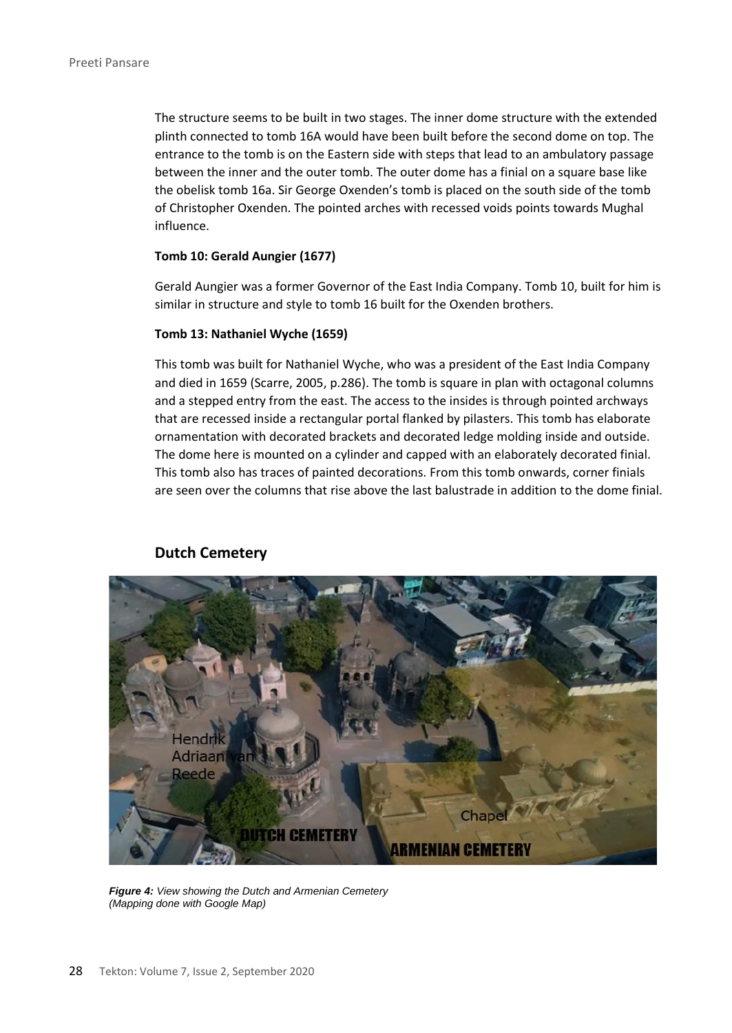The structure seems to be built in two stages. The inner dome structure with the extended plinth connected to tomb 16A would have been built before the second dome on top. The entrance to the tomb is on the Eastern side with steps that lead to an ambulatory passage between the inner and the outer tomb. The outer dome has a finial on a square base like the obelisk tomb 16a. Sir George Oxenden's tomb is placed on the south side of the tomb of Christopher Oxenden. The pointed arches with recessed voids points towards Mughal influence.

#### **Tomb 10: Gerald Aungier (1677)**

Gerald Aungier was a former Governor of the East India Company. Tomb 10, built for him is similar in structure and style to tomb 16 built for the Oxenden brothers.

#### **Tomb 13: Nathaniel Wyche (1659)**

This tomb was built for Nathaniel Wyche, who was a president of the East India Company and died in 1659 (Scarre, 2005, p.286). The tomb is square in plan with octagonal columns and a stepped entry from the east. The access to the insides is through pointed archways that are recessed inside a rectangular portal flanked by pilasters. This tomb has elaborate ornamentation with decorated brackets and decorated ledge molding inside and outside. The dome here is mounted on a cylinder and capped with an elaborately decorated finial. This tomb also has traces of painted decorations. From this tomb onwards, corner finials are seen over the columns that rise above the last balustrade in addition to the dome finial.



### **Dutch Cemetery**

*Figure 4: View showing the Dutch and Armenian Cemetery (Mapping done with Google Map)*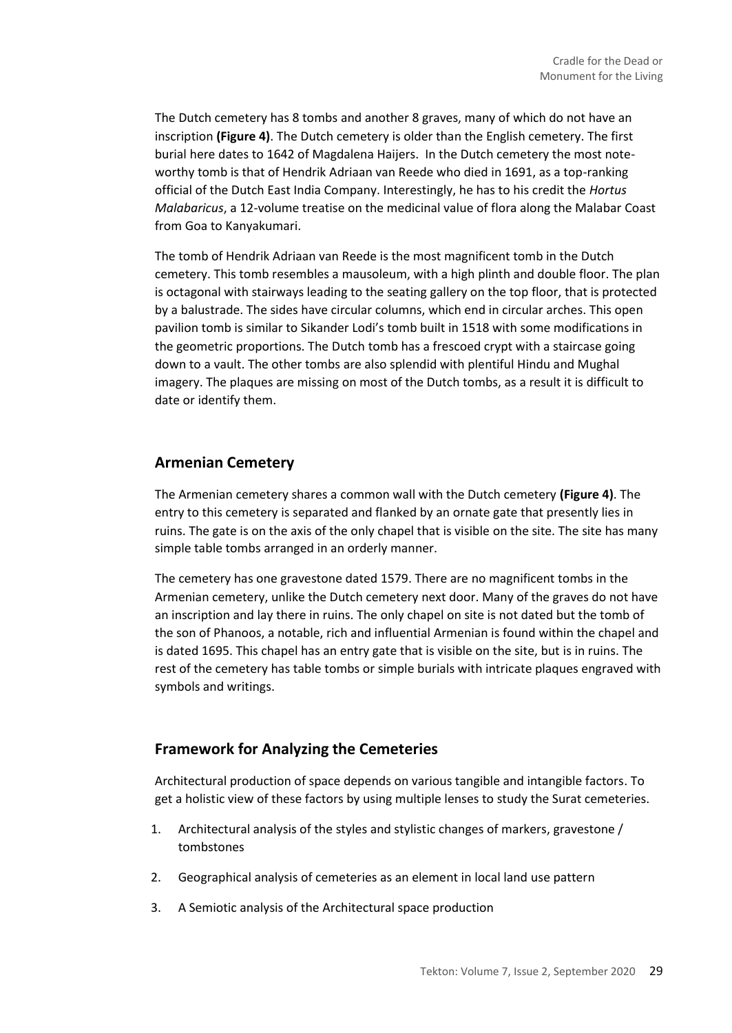The Dutch cemetery has 8 tombs and another 8 graves, many of which do not have an inscription **(Figure 4)**. The Dutch cemetery is older than the English cemetery. The first burial here dates to 1642 of Magdalena Haijers. In the Dutch cemetery the most noteworthy tomb is that of Hendrik Adriaan van Reede who died in 1691, as a top-ranking official of the Dutch East India Company. Interestingly, he has to his credit the *Hortus Malabaricus*, a 12-volume treatise on the medicinal value of flora along the Malabar Coast from Goa to Kanyakumari.

The tomb of Hendrik Adriaan van Reede is the most magnificent tomb in the Dutch cemetery. This tomb resembles a mausoleum, with a high plinth and double floor. The plan is octagonal with stairways leading to the seating gallery on the top floor, that is protected by a balustrade. The sides have circular columns, which end in circular arches. This open pavilion tomb is similar to Sikander Lodi's tomb built in 1518 with some modifications in the geometric proportions. The Dutch tomb has a frescoed crypt with a staircase going down to a vault. The other tombs are also splendid with plentiful Hindu and Mughal imagery. The plaques are missing on most of the Dutch tombs, as a result it is difficult to date or identify them.

# **Armenian Cemetery**

The Armenian cemetery shares a common wall with the Dutch cemetery **(Figure 4)**. The entry to this cemetery is separated and flanked by an ornate gate that presently lies in ruins. The gate is on the axis of the only chapel that is visible on the site. The site has many simple table tombs arranged in an orderly manner.

The cemetery has one gravestone dated 1579. There are no magnificent tombs in the Armenian cemetery, unlike the Dutch cemetery next door. Many of the graves do not have an inscription and lay there in ruins. The only chapel on site is not dated but the tomb of the son of Phanoos, a notable, rich and influential Armenian is found within the chapel and is dated 1695. This chapel has an entry gate that is visible on the site, but is in ruins. The rest of the cemetery has table tombs or simple burials with intricate plaques engraved with symbols and writings.

# **Framework for Analyzing the Cemeteries**

Architectural production of space depends on various tangible and intangible factors. To get a holistic view of these factors by using multiple lenses to study the Surat cemeteries.

- 1. Architectural analysis of the styles and stylistic changes of markers, gravestone / tombstones
- 2. Geographical analysis of cemeteries as an element in local land use pattern
- 3. A Semiotic analysis of the Architectural space production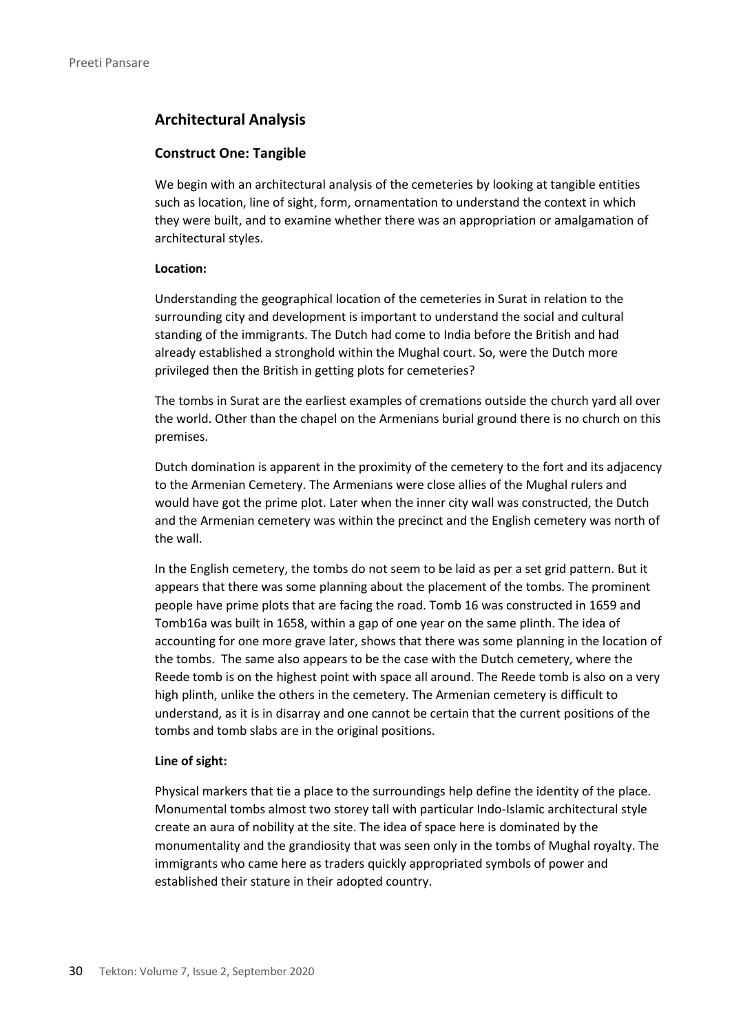# **Architectural Analysis**

#### **Construct One: Tangible**

We begin with an architectural analysis of the cemeteries by looking at tangible entities such as location, line of sight, form, ornamentation to understand the context in which they were built, and to examine whether there was an appropriation or amalgamation of architectural styles.

#### **Location:**

Understanding the geographical location of the cemeteries in Surat in relation to the surrounding city and development is important to understand the social and cultural standing of the immigrants. The Dutch had come to India before the British and had already established a stronghold within the Mughal court. So, were the Dutch more privileged then the British in getting plots for cemeteries?

The tombs in Surat are the earliest examples of cremations outside the church yard all over the world. Other than the chapel on the Armenians burial ground there is no church on this premises.

Dutch domination is apparent in the proximity of the cemetery to the fort and its adjacency to the Armenian Cemetery. The Armenians were close allies of the Mughal rulers and would have got the prime plot. Later when the inner city wall was constructed, the Dutch and the Armenian cemetery was within the precinct and the English cemetery was north of the wall.

In the English cemetery, the tombs do not seem to be laid as per a set grid pattern. But it appears that there was some planning about the placement of the tombs. The prominent people have prime plots that are facing the road. Tomb 16 was constructed in 1659 and Tomb16a was built in 1658, within a gap of one year on the same plinth. The idea of accounting for one more grave later, shows that there was some planning in the location of the tombs. The same also appears to be the case with the Dutch cemetery, where the Reede tomb is on the highest point with space all around. The Reede tomb is also on a very high plinth, unlike the others in the cemetery. The Armenian cemetery is difficult to understand, as it is in disarray and one cannot be certain that the current positions of the tombs and tomb slabs are in the original positions.

#### **Line of sight:**

Physical markers that tie a place to the surroundings help define the identity of the place. Monumental tombs almost two storey tall with particular Indo-Islamic architectural style create an aura of nobility at the site. The idea of space here is dominated by the monumentality and the grandiosity that was seen only in the tombs of Mughal royalty. The immigrants who came here as traders quickly appropriated symbols of power and established their stature in their adopted country.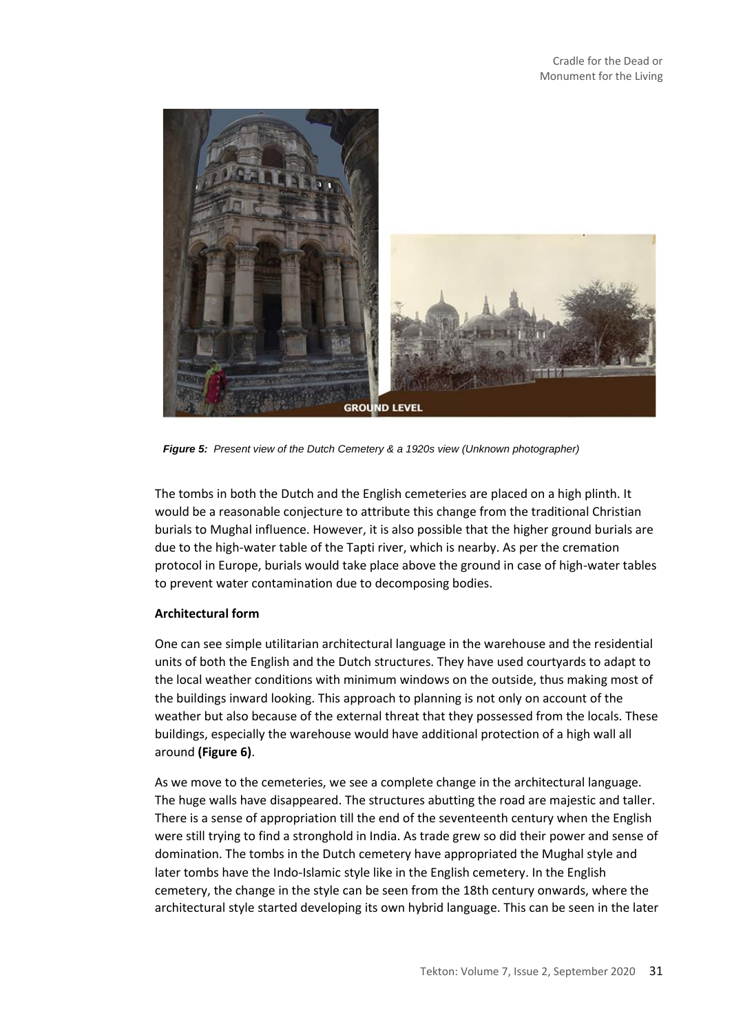

*Figure 5: Present view of the Dutch Cemetery & a 1920s view (Unknown photographer)*

The tombs in both the Dutch and the English cemeteries are placed on a high plinth. It would be a reasonable conjecture to attribute this change from the traditional Christian burials to Mughal influence. However, it is also possible that the higher ground burials are due to the high-water table of the Tapti river, which is nearby. As per the cremation protocol in Europe, burials would take place above the ground in case of high-water tables to prevent water contamination due to decomposing bodies.

### **Architectural form**

One can see simple utilitarian architectural language in the warehouse and the residential units of both the English and the Dutch structures. They have used courtyards to adapt to the local weather conditions with minimum windows on the outside, thus making most of the buildings inward looking. This approach to planning is not only on account of the weather but also because of the external threat that they possessed from the locals. These buildings, especially the warehouse would have additional protection of a high wall all around **(Figure 6)**.

As we move to the cemeteries, we see a complete change in the architectural language. The huge walls have disappeared. The structures abutting the road are majestic and taller. There is a sense of appropriation till the end of the seventeenth century when the English were still trying to find a stronghold in India. As trade grew so did their power and sense of domination. The tombs in the Dutch cemetery have appropriated the Mughal style and later tombs have the Indo-Islamic style like in the English cemetery. In the English cemetery, the change in the style can be seen from the 18th century onwards, where the architectural style started developing its own hybrid language. This can be seen in the later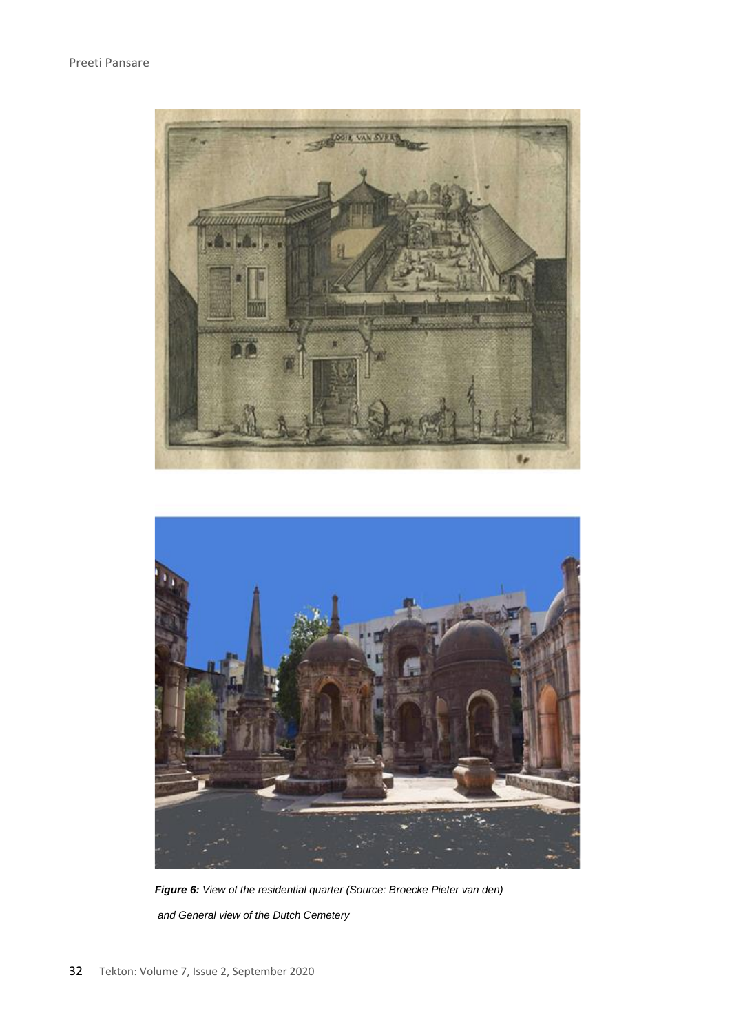



*Figure 6: View of the residential quarter (Source: Broecke Pieter van den) and General view of the Dutch Cemetery*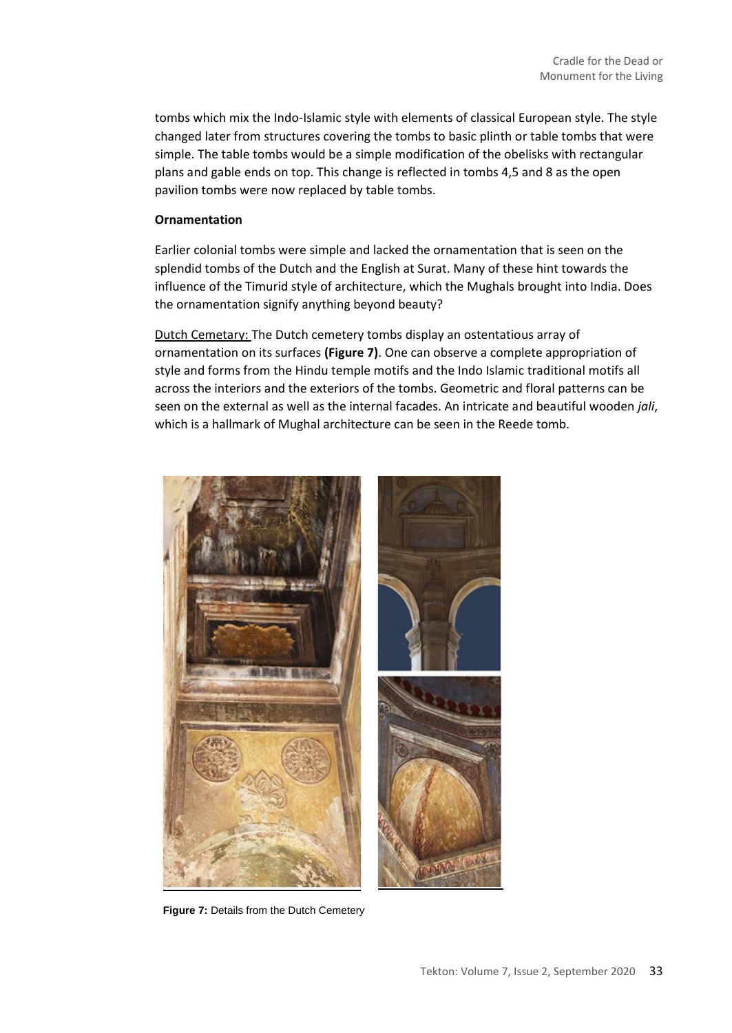tombs which mix the Indo-Islamic style with elements of classical European style. The style changed later from structures covering the tombs to basic plinth or table tombs that were simple. The table tombs would be a simple modification of the obelisks with rectangular plans and gable ends on top. This change is reflected in tombs 4,5 and 8 as the open pavilion tombs were now replaced by table tombs.

#### **Ornamentation**

Earlier colonial tombs were simple and lacked the ornamentation that is seen on the splendid tombs of the Dutch and the English at Surat. Many of these hint towards the influence of the Timurid style of architecture, which the Mughals brought into India. Does the ornamentation signify anything beyond beauty?

Dutch Cemetary: The Dutch cemetery tombs display an ostentatious array of ornamentation on its surfaces **(Figure 7)**. One can observe a complete appropriation of style and forms from the Hindu temple motifs and the Indo Islamic traditional motifs all across the interiors and the exteriors of the tombs. Geometric and floral patterns can be seen on the external as well as the internal facades. An intricate and beautiful wooden *jali*, which is a hallmark of Mughal architecture can be seen in the Reede tomb.



**Figure 7:** Details from the Dutch Cemetery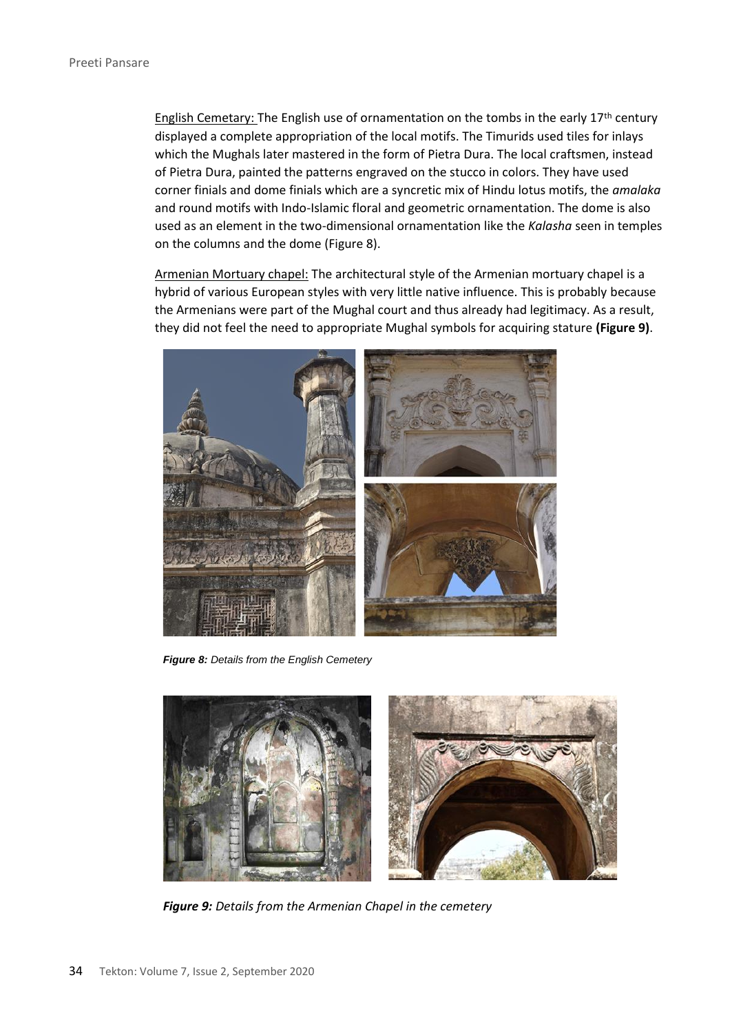English Cemetary: The English use of ornamentation on the tombs in the early  $17<sup>th</sup>$  century displayed a complete appropriation of the local motifs. The Timurids used tiles for inlays which the Mughals later mastered in the form of Pietra Dura. The local craftsmen, instead of Pietra Dura, painted the patterns engraved on the stucco in colors. They have used corner finials and dome finials which are a syncretic mix of Hindu lotus motifs, the *amalaka* and round motifs with Indo-Islamic floral and geometric ornamentation. The dome is also used as an element in the two-dimensional ornamentation like the *Kalasha* seen in temples on the columns and the dome (Figure 8).

Armenian Mortuary chapel: The architectural style of the Armenian mortuary chapel is a hybrid of various European styles with very little native influence. This is probably because the Armenians were part of the Mughal court and thus already had legitimacy. As a result, they did not feel the need to appropriate Mughal symbols for acquiring stature **(Figure 9)**.



*Figure 8: Details from the English Cemetery*



*Figure 9: Details from the Armenian Chapel in the cemetery*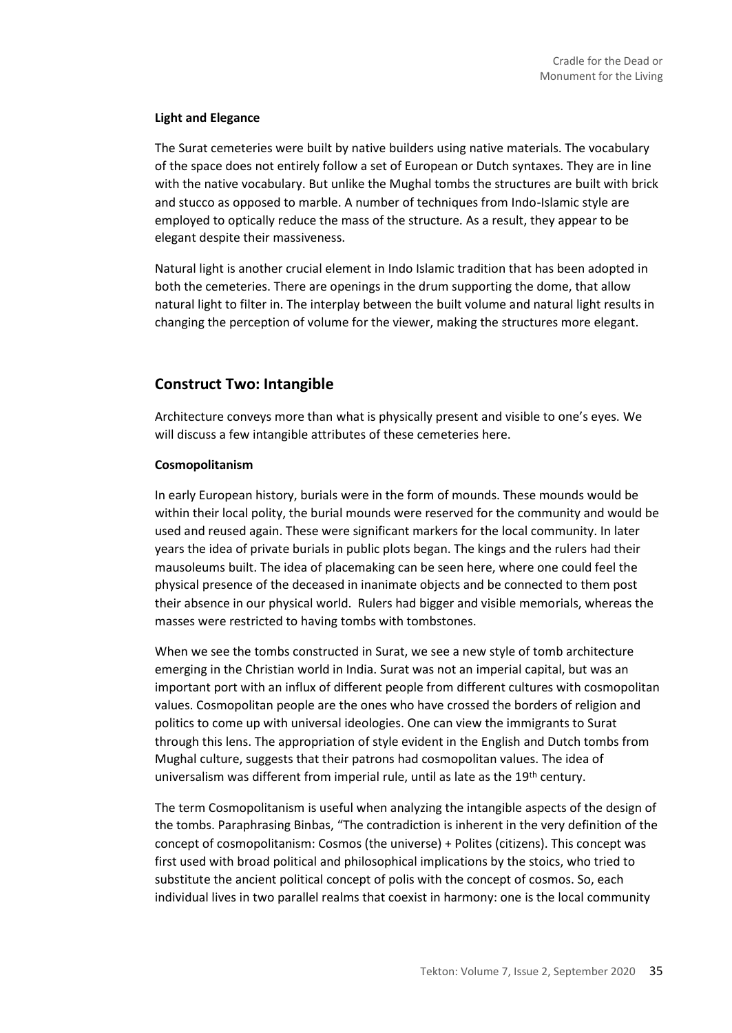### **Light and Elegance**

The Surat cemeteries were built by native builders using native materials. The vocabulary of the space does not entirely follow a set of European or Dutch syntaxes. They are in line with the native vocabulary. But unlike the Mughal tombs the structures are built with brick and stucco as opposed to marble. A number of techniques from Indo-Islamic style are employed to optically reduce the mass of the structure. As a result, they appear to be elegant despite their massiveness.

Natural light is another crucial element in Indo Islamic tradition that has been adopted in both the cemeteries. There are openings in the drum supporting the dome, that allow natural light to filter in. The interplay between the built volume and natural light results in changing the perception of volume for the viewer, making the structures more elegant.

### **Construct Two: Intangible**

Architecture conveys more than what is physically present and visible to one's eyes. We will discuss a few intangible attributes of these cemeteries here.

#### **Cosmopolitanism**

In early European history, burials were in the form of mounds. These mounds would be within their local polity, the burial mounds were reserved for the community and would be used and reused again. These were significant markers for the local community. In later years the idea of private burials in public plots began. The kings and the rulers had their mausoleums built. The idea of placemaking can be seen here, where one could feel the physical presence of the deceased in inanimate objects and be connected to them post their absence in our physical world. Rulers had bigger and visible memorials, whereas the masses were restricted to having tombs with tombstones.

When we see the tombs constructed in Surat, we see a new style of tomb architecture emerging in the Christian world in India. Surat was not an imperial capital, but was an important port with an influx of different people from different cultures with cosmopolitan values. Cosmopolitan people are the ones who have crossed the borders of religion and politics to come up with universal ideologies. One can view the immigrants to Surat through this lens. The appropriation of style evident in the English and Dutch tombs from Mughal culture, suggests that their patrons had cosmopolitan values. The idea of universalism was different from imperial rule, until as late as the 19<sup>th</sup> century.

The term Cosmopolitanism is useful when analyzing the intangible aspects of the design of the tombs. Paraphrasing Binbas, "The contradiction is inherent in the very definition of the concept of cosmopolitanism: Cosmos (the universe) + Polites (citizens). This concept was first used with broad political and philosophical implications by the stoics, who tried to substitute the ancient political concept of polis with the concept of cosmos. So, each individual lives in two parallel realms that coexist in harmony: one is the local community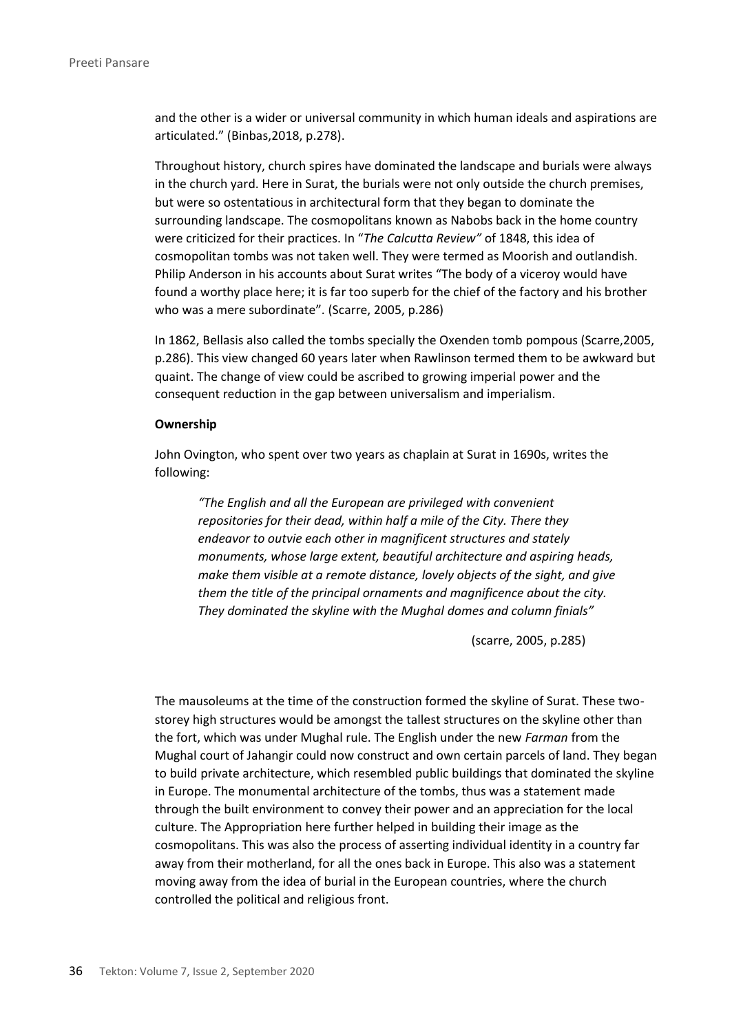and the other is a wider or universal community in which human ideals and aspirations are articulated." (Binbas,2018, p.278).

Throughout history, church spires have dominated the landscape and burials were always in the church yard. Here in Surat, the burials were not only outside the church premises, but were so ostentatious in architectural form that they began to dominate the surrounding landscape. The cosmopolitans known as Nabobs back in the home country were criticized for their practices. In "*The Calcutta Review"* of 1848, this idea of cosmopolitan tombs was not taken well. They were termed as Moorish and outlandish. Philip Anderson in his accounts about Surat writes "The body of a viceroy would have found a worthy place here; it is far too superb for the chief of the factory and his brother who was a mere subordinate". (Scarre, 2005, p.286)

In 1862, Bellasis also called the tombs specially the Oxenden tomb pompous (Scarre,2005, p.286). This view changed 60 years later when Rawlinson termed them to be awkward but quaint. The change of view could be ascribed to growing imperial power and the consequent reduction in the gap between universalism and imperialism.

#### **Ownership**

John Ovington, who spent over two years as chaplain at Surat in 1690s, writes the following:

*"The English and all the European are privileged with convenient repositories for their dead, within half a mile of the City. There they endeavor to outvie each other in magnificent structures and stately monuments, whose large extent, beautiful architecture and aspiring heads, make them visible at a remote distance, lovely objects of the sight, and give them the title of the principal ornaments and magnificence about the city. They dominated the skyline with the Mughal domes and column finials"*

(scarre, 2005, p.285)

The mausoleums at the time of the construction formed the skyline of Surat. These twostorey high structures would be amongst the tallest structures on the skyline other than the fort, which was under Mughal rule. The English under the new *Farman* from the Mughal court of Jahangir could now construct and own certain parcels of land. They began to build private architecture, which resembled public buildings that dominated the skyline in Europe. The monumental architecture of the tombs, thus was a statement made through the built environment to convey their power and an appreciation for the local culture. The Appropriation here further helped in building their image as the cosmopolitans. This was also the process of asserting individual identity in a country far away from their motherland, for all the ones back in Europe. This also was a statement moving away from the idea of burial in the European countries, where the church controlled the political and religious front.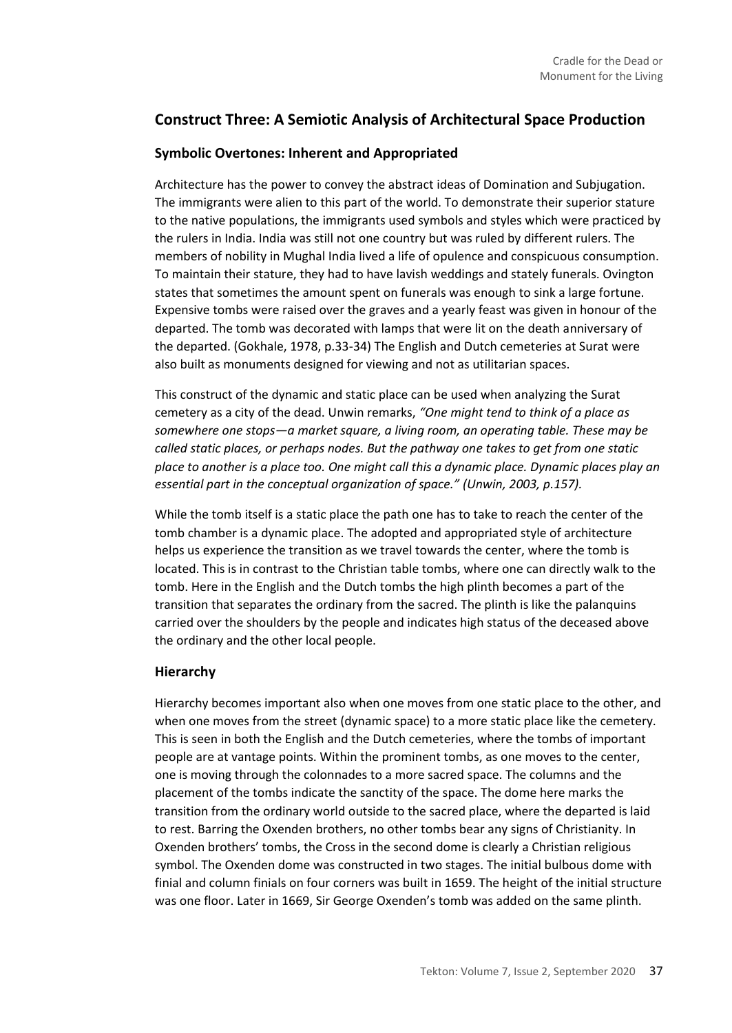# **Construct Three: A Semiotic Analysis of Architectural Space Production**

### **Symbolic Overtones: Inherent and Appropriated**

Architecture has the power to convey the abstract ideas of Domination and Subjugation. The immigrants were alien to this part of the world. To demonstrate their superior stature to the native populations, the immigrants used symbols and styles which were practiced by the rulers in India. India was still not one country but was ruled by different rulers. The members of nobility in Mughal India lived a life of opulence and conspicuous consumption. To maintain their stature, they had to have lavish weddings and stately funerals. Ovington states that sometimes the amount spent on funerals was enough to sink a large fortune. Expensive tombs were raised over the graves and a yearly feast was given in honour of the departed. The tomb was decorated with lamps that were lit on the death anniversary of the departed. (Gokhale, 1978, p.33-34) The English and Dutch cemeteries at Surat were also built as monuments designed for viewing and not as utilitarian spaces.

This construct of the dynamic and static place can be used when analyzing the Surat cemetery as a city of the dead. Unwin remarks, *"One might tend to think of a place as somewhere one stops—a market square, a living room, an operating table. These may be called static places, or perhaps nodes. But the pathway one takes to get from one static place to another is a place too. One might call this a dynamic place. Dynamic places play an essential part in the conceptual organization of space." (Unwin, 2003, p.157).*

While the tomb itself is a static place the path one has to take to reach the center of the tomb chamber is a dynamic place. The adopted and appropriated style of architecture helps us experience the transition as we travel towards the center, where the tomb is located. This is in contrast to the Christian table tombs, where one can directly walk to the tomb. Here in the English and the Dutch tombs the high plinth becomes a part of the transition that separates the ordinary from the sacred. The plinth is like the palanquins carried over the shoulders by the people and indicates high status of the deceased above the ordinary and the other local people.

### **Hierarchy**

Hierarchy becomes important also when one moves from one static place to the other, and when one moves from the street (dynamic space) to a more static place like the cemetery. This is seen in both the English and the Dutch cemeteries, where the tombs of important people are at vantage points. Within the prominent tombs, as one moves to the center, one is moving through the colonnades to a more sacred space. The columns and the placement of the tombs indicate the sanctity of the space. The dome here marks the transition from the ordinary world outside to the sacred place, where the departed is laid to rest. Barring the Oxenden brothers, no other tombs bear any signs of Christianity. In Oxenden brothers' tombs, the Cross in the second dome is clearly a Christian religious symbol. The Oxenden dome was constructed in two stages. The initial bulbous dome with finial and column finials on four corners was built in 1659. The height of the initial structure was one floor. Later in 1669, Sir George Oxenden's tomb was added on the same plinth.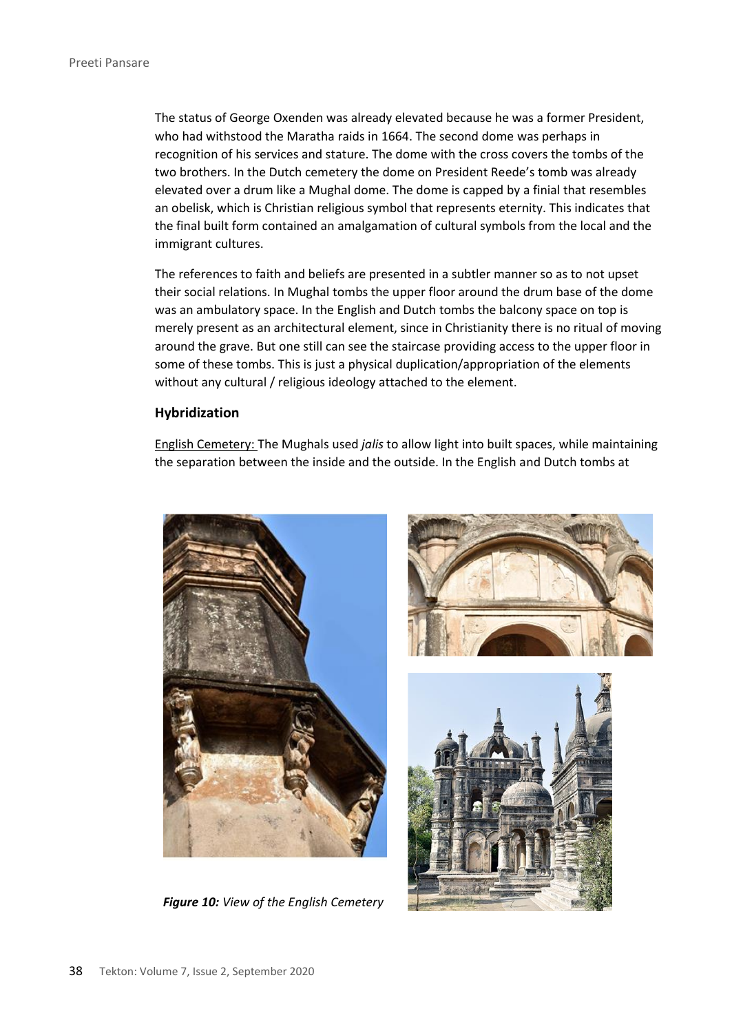The status of George Oxenden was already elevated because he was a former President, who had withstood the Maratha raids in 1664. The second dome was perhaps in recognition of his services and stature. The dome with the cross covers the tombs of the two brothers. In the Dutch cemetery the dome on President Reede's tomb was already elevated over a drum like a Mughal dome. The dome is capped by a finial that resembles an obelisk, which is Christian religious symbol that represents eternity. This indicates that the final built form contained an amalgamation of cultural symbols from the local and the immigrant cultures.

The references to faith and beliefs are presented in a subtler manner so as to not upset their social relations. In Mughal tombs the upper floor around the drum base of the dome was an ambulatory space. In the English and Dutch tombs the balcony space on top is merely present as an architectural element, since in Christianity there is no ritual of moving around the grave. But one still can see the staircase providing access to the upper floor in some of these tombs. This is just a physical duplication/appropriation of the elements without any cultural / religious ideology attached to the element.

#### **Hybridization**

English Cemetery: The Mughals used *jalis* to allow light into built spaces, while maintaining the separation between the inside and the outside. In the English and Dutch tombs at



*Figure 10: View of the English Cemetery*



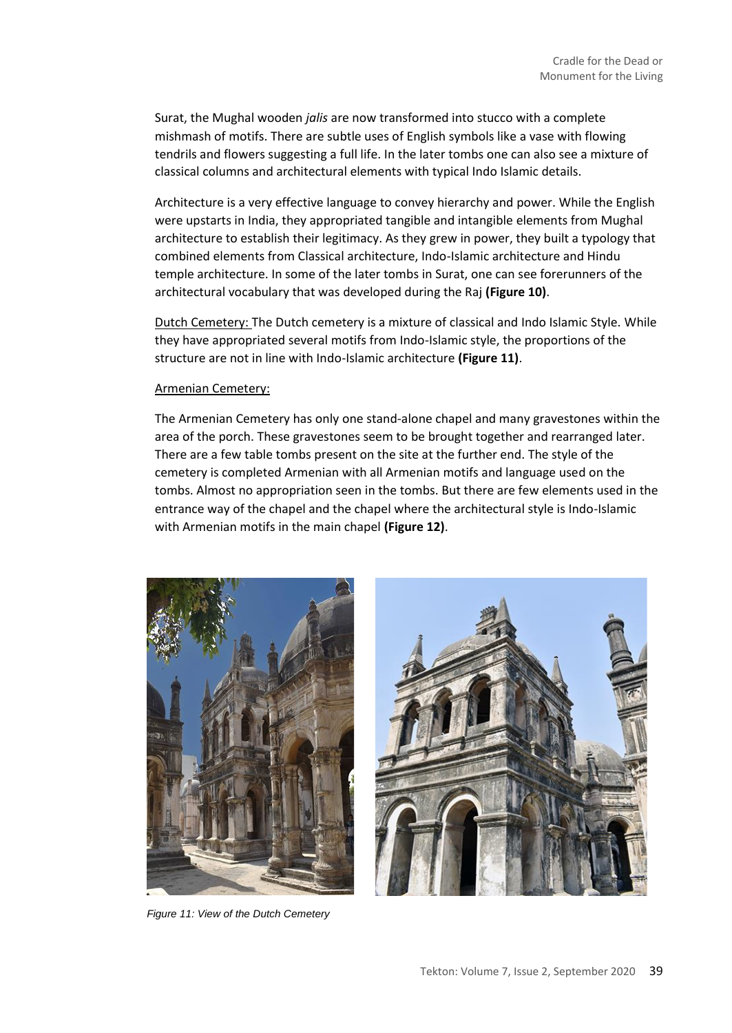Surat, the Mughal wooden *jalis* are now transformed into stucco with a complete mishmash of motifs. There are subtle uses of English symbols like a vase with flowing tendrils and flowers suggesting a full life. In the later tombs one can also see a mixture of classical columns and architectural elements with typical Indo Islamic details.

Architecture is a very effective language to convey hierarchy and power. While the English were upstarts in India, they appropriated tangible and intangible elements from Mughal architecture to establish their legitimacy. As they grew in power, they built a typology that combined elements from Classical architecture, Indo-Islamic architecture and Hindu temple architecture. In some of the later tombs in Surat, one can see forerunners of the architectural vocabulary that was developed during the Raj **(Figure 10)**.

Dutch Cemetery: The Dutch cemetery is a mixture of classical and Indo Islamic Style. While they have appropriated several motifs from Indo-Islamic style, the proportions of the structure are not in line with Indo-Islamic architecture **(Figure 11)**.

#### Armenian Cemetery:

The Armenian Cemetery has only one stand-alone chapel and many gravestones within the area of the porch. These gravestones seem to be brought together and rearranged later. There are a few table tombs present on the site at the further end. The style of the cemetery is completed Armenian with all Armenian motifs and language used on the tombs. Almost no appropriation seen in the tombs. But there are few elements used in the entrance way of the chapel and the chapel where the architectural style is Indo-Islamic with Armenian motifs in the main chapel **(Figure 12)**.



*Figure 11: View of the Dutch Cemetery*

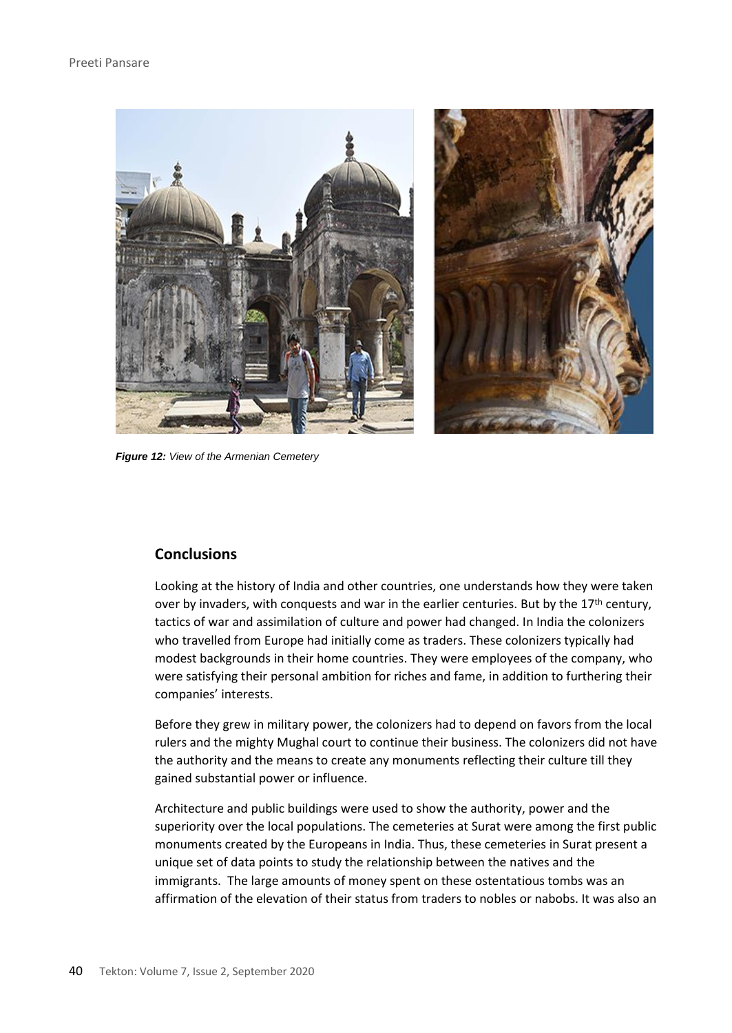

*Figure 12: View of the Armenian Cemetery*

# **Conclusions**

Looking at the history of India and other countries, one understands how they were taken over by invaders, with conquests and war in the earlier centuries. But by the 17<sup>th</sup> century, tactics of war and assimilation of culture and power had changed. In India the colonizers who travelled from Europe had initially come as traders. These colonizers typically had modest backgrounds in their home countries. They were employees of the company, who were satisfying their personal ambition for riches and fame, in addition to furthering their companies' interests.

Before they grew in military power, the colonizers had to depend on favors from the local rulers and the mighty Mughal court to continue their business. The colonizers did not have the authority and the means to create any monuments reflecting their culture till they gained substantial power or influence.

Architecture and public buildings were used to show the authority, power and the superiority over the local populations. The cemeteries at Surat were among the first public monuments created by the Europeans in India. Thus, these cemeteries in Surat present a unique set of data points to study the relationship between the natives and the immigrants. The large amounts of money spent on these ostentatious tombs was an affirmation of the elevation of their status from traders to nobles or nabobs. It was also an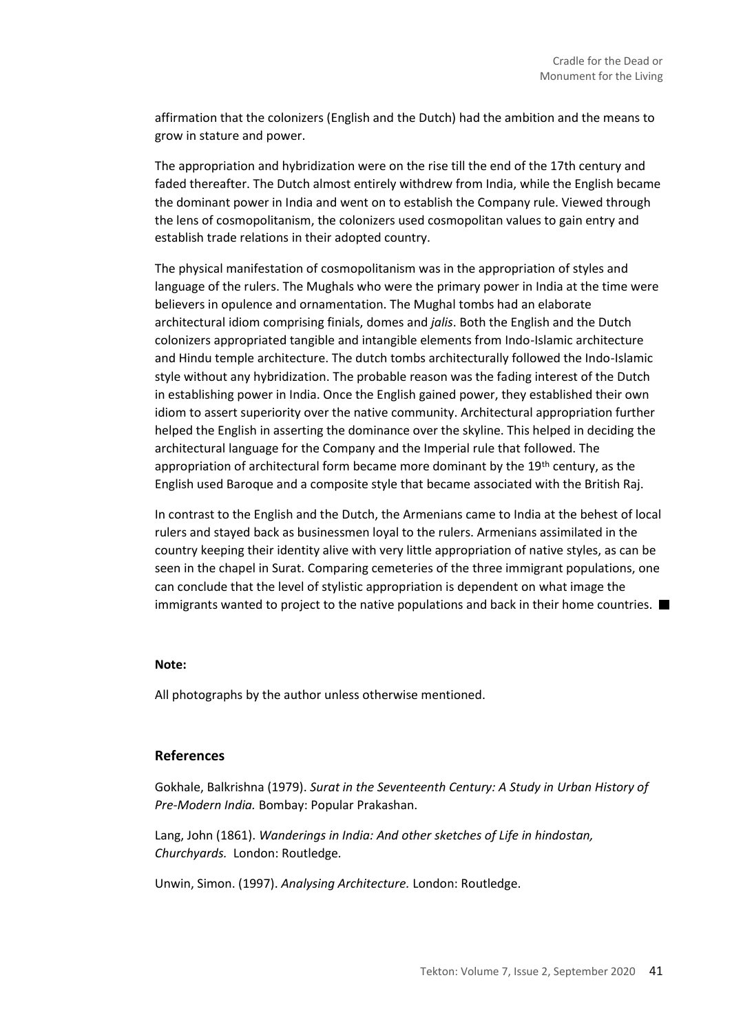affirmation that the colonizers (English and the Dutch) had the ambition and the means to grow in stature and power.

The appropriation and hybridization were on the rise till the end of the 17th century and faded thereafter. The Dutch almost entirely withdrew from India, while the English became the dominant power in India and went on to establish the Company rule. Viewed through the lens of cosmopolitanism, the colonizers used cosmopolitan values to gain entry and establish trade relations in their adopted country.

The physical manifestation of cosmopolitanism was in the appropriation of styles and language of the rulers. The Mughals who were the primary power in India at the time were believers in opulence and ornamentation. The Mughal tombs had an elaborate architectural idiom comprising finials, domes and *jalis*. Both the English and the Dutch colonizers appropriated tangible and intangible elements from Indo-Islamic architecture and Hindu temple architecture. The dutch tombs architecturally followed the Indo-Islamic style without any hybridization. The probable reason was the fading interest of the Dutch in establishing power in India. Once the English gained power, they established their own idiom to assert superiority over the native community. Architectural appropriation further helped the English in asserting the dominance over the skyline. This helped in deciding the architectural language for the Company and the Imperial rule that followed. The appropriation of architectural form became more dominant by the  $19<sup>th</sup>$  century, as the English used Baroque and a composite style that became associated with the British Raj.

In contrast to the English and the Dutch, the Armenians came to India at the behest of local rulers and stayed back as businessmen loyal to the rulers. Armenians assimilated in the country keeping their identity alive with very little appropriation of native styles, as can be seen in the chapel in Surat. Comparing cemeteries of the three immigrant populations, one can conclude that the level of stylistic appropriation is dependent on what image the immigrants wanted to project to the native populations and back in their home countries.  $\blacksquare$ 

#### **Note:**

All photographs by the author unless otherwise mentioned.

### **References**

Gokhale, Balkrishna (1979). *Surat in the Seventeenth Century: A Study in Urban History of Pre-Modern India.* Bombay: Popular Prakashan.

Lang, John (1861). *Wanderings in India: And other sketches of Life in hindostan, Churchyards.* London: Routledge*.*

Unwin, Simon. (1997). *Analysing Architecture.* London: Routledge.